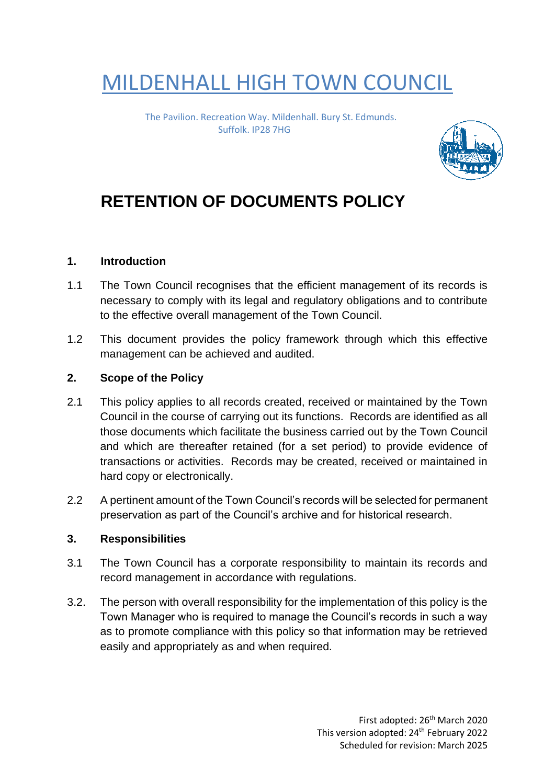# MILDENHALL HIGH TOWN COUNCIL

The Pavilion. Recreation Way. Mildenhall. Bury St. Edmunds. Suffolk. IP28 7HG



# **RETENTION OF DOCUMENTS POLICY**

## **1. Introduction**

- 1.1 The Town Council recognises that the efficient management of its records is necessary to comply with its legal and regulatory obligations and to contribute to the effective overall management of the Town Council.
- 1.2 This document provides the policy framework through which this effective management can be achieved and audited.

#### **2. Scope of the Policy**

- 2.1 This policy applies to all records created, received or maintained by the Town Council in the course of carrying out its functions. Records are identified as all those documents which facilitate the business carried out by the Town Council and which are thereafter retained (for a set period) to provide evidence of transactions or activities. Records may be created, received or maintained in hard copy or electronically.
- 2.2 A pertinent amount of the Town Council's records will be selected for permanent preservation as part of the Council's archive and for historical research.

#### **3. Responsibilities**

- 3.1 The Town Council has a corporate responsibility to maintain its records and record management in accordance with regulations.
- 3.2. The person with overall responsibility for the implementation of this policy is the Town Manager who is required to manage the Council's records in such a way as to promote compliance with this policy so that information may be retrieved easily and appropriately as and when required.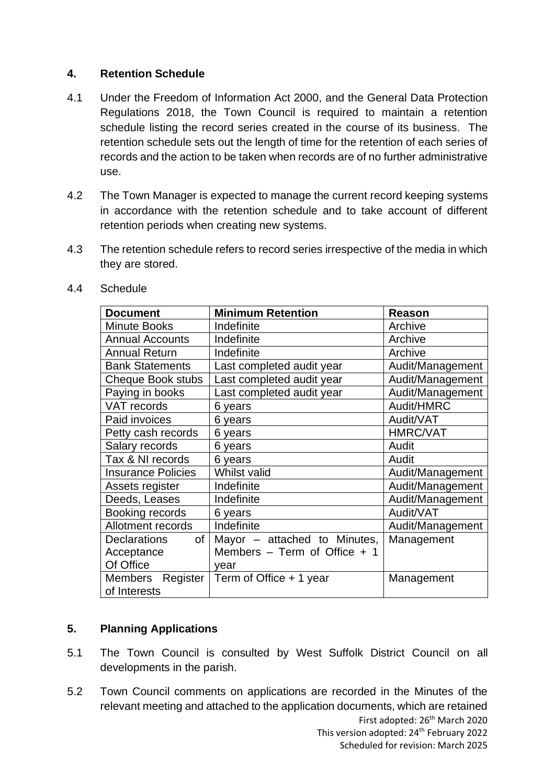# **4. Retention Schedule**

- 4.1 Under the Freedom of Information Act 2000, and the General Data Protection Regulations 2018, the Town Council is required to maintain a retention schedule listing the record series created in the course of its business. The retention schedule sets out the length of time for the retention of each series of records and the action to be taken when records are of no further administrative use.
- 4.2 The Town Manager is expected to manage the current record keeping systems in accordance with the retention schedule and to take account of different retention periods when creating new systems.
- 4.3 The retention schedule refers to record series irrespective of the media in which they are stored.

| <b>Document</b>            | <b>Minimum Retention</b>         | Reason           |  |
|----------------------------|----------------------------------|------------------|--|
| <b>Minute Books</b>        | Indefinite                       | Archive          |  |
| <b>Annual Accounts</b>     | Indefinite                       | Archive          |  |
| <b>Annual Return</b>       | Indefinite                       | Archive          |  |
| <b>Bank Statements</b>     | Last completed audit year        | Audit/Management |  |
| Cheque Book stubs          | Last completed audit year        | Audit/Management |  |
| Paying in books            | Last completed audit year        | Audit/Management |  |
| <b>VAT records</b>         | 6 years                          | Audit/HMRC       |  |
| Paid invoices              | 6 years                          | Audit/VAT        |  |
| Petty cash records         | 6 years                          | <b>HMRC/VAT</b>  |  |
| Salary records             | 6 years                          | Audit            |  |
| Tax & NI records           | 6 years                          | Audit            |  |
| <b>Insurance Policies</b>  | Whilst valid                     | Audit/Management |  |
| Assets register            | Indefinite                       | Audit/Management |  |
| Deeds, Leases              | Indefinite                       | Audit/Management |  |
| Booking records            | 6 years                          | Audit/VAT        |  |
| Allotment records          | Indefinite                       | Audit/Management |  |
| of<br><b>Declarations</b>  | Mayor – attached to Minutes,     | Management       |  |
| Acceptance                 | Members $-$ Term of Office $+$ 1 |                  |  |
| Of Office                  | year                             |                  |  |
| <b>Members</b><br>Register | Term of Office + 1 year          | Management       |  |
| of Interests               |                                  |                  |  |

4.4 Schedule

# **5. Planning Applications**

- 5.1 The Town Council is consulted by West Suffolk District Council on all developments in the parish.
- First adopted: 26<sup>th</sup> March 2020 This version adopted: 24<sup>th</sup> February 2022 5.2 Town Council comments on applications are recorded in the Minutes of the relevant meeting and attached to the application documents, which are retained

Scheduled for revision: March 2025